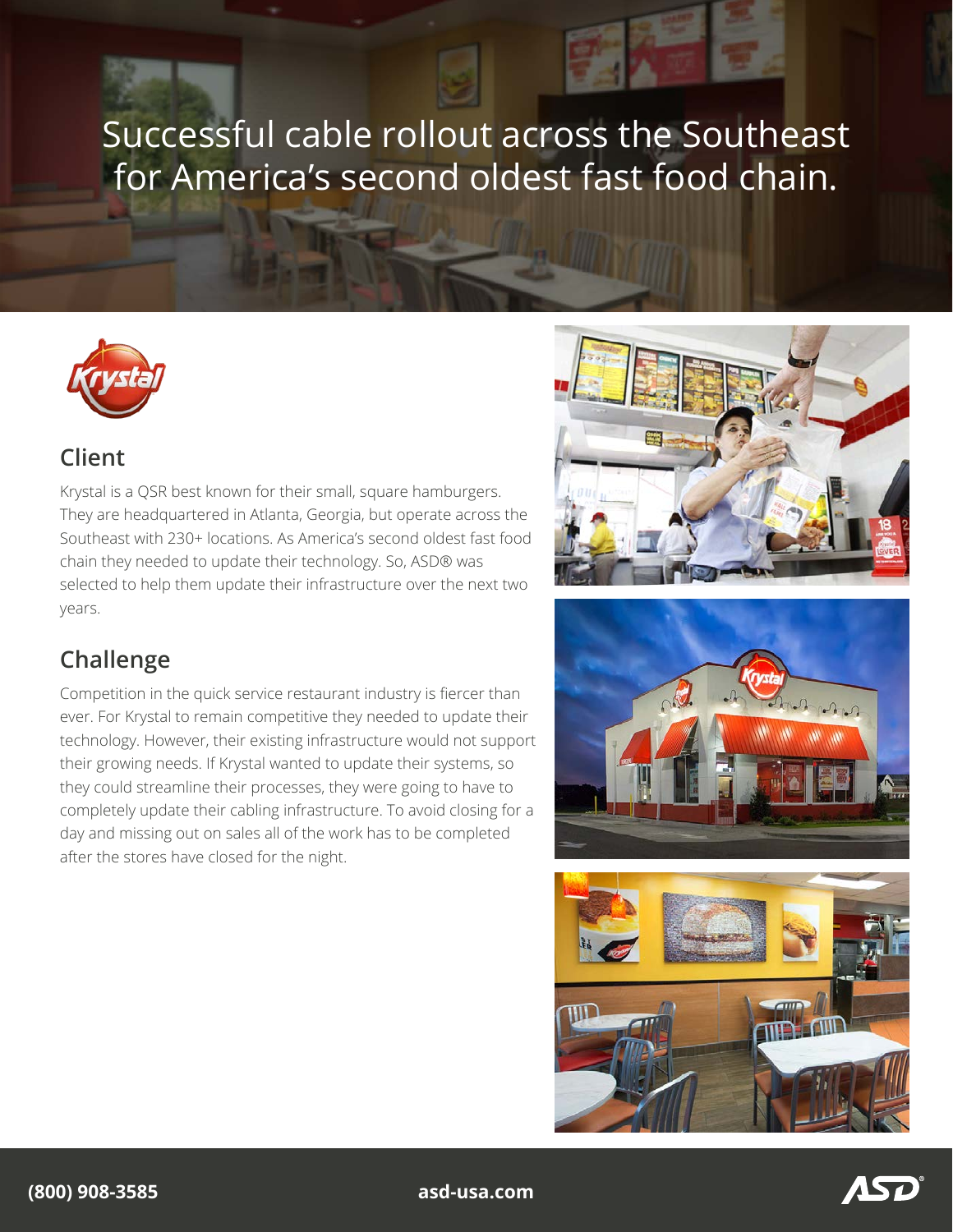# Successful cable rollout across the Southeast for America's second oldest fast food chain.



### **Client**

Krystal is a QSR best known for their small, square hamburgers. They are headquartered in Atlanta, Georgia, but operate across the Southeast with 230+ locations. As America's second oldest fast food chain they needed to update their technology. So, ASD® was selected to help them update their infrastructure over the next two years.

## **Challenge**

Competition in the quick service restaurant industry is fiercer than ever. For Krystal to remain competitive they needed to update their technology. However, their existing infrastructure would not support their growing needs. If Krystal wanted to update their systems, so they could streamline their processes, they were going to have to completely update their cabling infrastructure. To avoid closing for a day and missing out on sales all of the work has to be completed after the stores have closed for the night.